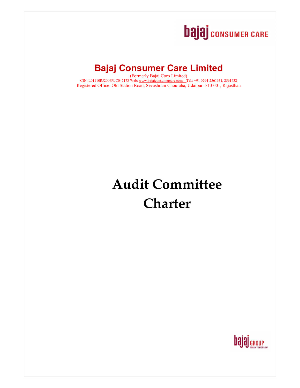# **bajaj** consumer CARE

## **Bajaj Consumer Care Limited**

(Formerly Bajaj Corp Limited) CIN: L01110RJ2006PLC047173 Web: www.bajajconsumercare.com Tel.: +91 0294-2561631, 2561632 Registered Office: Old Station Road, Sevashram Chouraha, Udaipur- 313 001, Rajasthan

## **Audit Committee Charter**

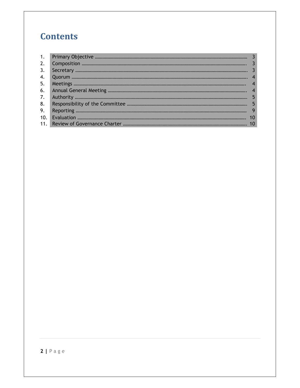## **Contents**

| 2.  |  |
|-----|--|
| 3.  |  |
| 4.  |  |
| 5.  |  |
| 6.  |  |
| 7.  |  |
| 8.  |  |
| 9.  |  |
| 10. |  |
|     |  |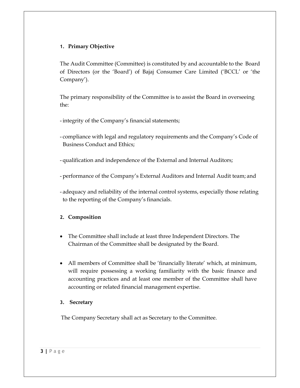#### **1. Primary Objective**

The Audit Committee (Committee) is constituted by and accountable to the Board of Directors (or the 'Board') of Bajaj Consumer Care Limited ('BCCL' or 'the Company').

The primary responsibility of the Committee is to assist the Board in overseeing the:

- integrity of the Company's financial statements;

- compliance with legal and regulatory requirements and the Company's Code of Business Conduct and Ethics;
- qualification and independence of the External and Internal Auditors;
- performance of the Company's External Auditors and Internal Audit team; and
- adequacy and reliability of the internal control systems, especially those relating to the reporting of the Company's financials.

#### **2. Composition**

- The Committee shall include at least three Independent Directors. The Chairman of the Committee shall be designated by the Board.
- All members of Committee shall be 'financially literate' which, at minimum, will require possessing a working familiarity with the basic finance and accounting practices and at least one member of the Committee shall have accounting or related financial management expertise.

#### **3. Secretary**

The Company Secretary shall act as Secretary to the Committee.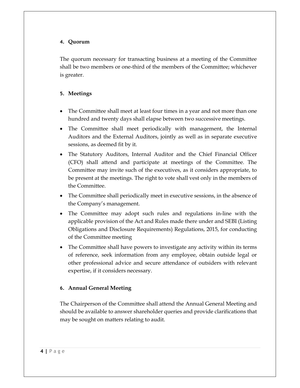#### **4. Quorum**

The quorum necessary for transacting business at a meeting of the Committee shall be two members or one-third of the members of the Committee; whichever is greater.

#### **5. Meetings**

- The Committee shall meet at least four times in a year and not more than one hundred and twenty days shall elapse between two successive meetings.
- The Committee shall meet periodically with management, the Internal Auditors and the External Auditors, jointly as well as in separate executive sessions, as deemed fit by it.
- The Statutory Auditors, Internal Auditor and the Chief Financial Officer (CFO) shall attend and participate at meetings of the Committee. The Committee may invite such of the executives, as it considers appropriate, to be present at the meetings. The right to vote shall vest only in the members of the Committee.
- The Committee shall periodically meet in executive sessions, in the absence of the Company's management.
- The Committee may adopt such rules and regulations in-line with the applicable provision of the Act and Rules made there under and SEBI (Listing Obligations and Disclosure Requirements) Regulations, 2015, for conducting of the Committee meeting
- The Committee shall have powers to investigate any activity within its terms of reference, seek information from any employee, obtain outside legal or other professional advice and secure attendance of outsiders with relevant expertise, if it considers necessary.

#### **6. Annual General Meeting**

The Chairperson of the Committee shall attend the Annual General Meeting and should be available to answer shareholder queries and provide clarifications that may be sought on matters relating to audit.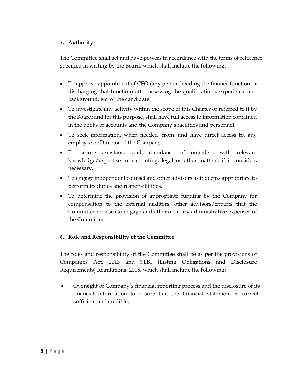#### **7. Authority**

The Committee shall act and have powers in accordance with the terms of reference specified in writing by the Board, which shall include the following:

- To approve appointment of CFO (any person heading the finance function or discharging that function) after assessing the qualifications, experience and background, etc. of the candidate.
- To investigate any activity within the scope of this Charter or referred to it by the Board; and for this purpose, shall have full access to information contained in the books of accounts and the Company's facilities and personnel.
- To seek information, when needed, from, and have direct access to, any employee or Director of the Company.
- To secure assistance and attendance of outsiders with relevant knowledge/expertise in accounting, legal or other matters, if it considers necessary.
- To engage independent counsel and other advisors as it deems appropriate to perform its duties and responsibilities.
- To determine the provision of appropriate funding by the Company for compensation to the external auditors, other advisors/experts that the Committee chooses to engage and other ordinary administrative expenses of the Committee.

#### **8. Role and Responsibility of the Committee**

The roles and responsibility of the Committee shall be as per the provisions of Companies Act, 2013 and SEBI (Listing Obligations and Disclosure Requirements) Regulations, 2015, which shall include the following:

 Oversight of Company's financial reporting process and the disclosure of its financial information to ensure that the financial statement is correct, sufficient and credible;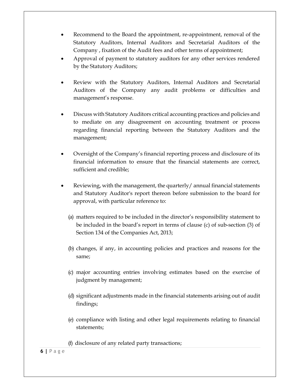- Recommend to the Board the appointment, re-appointment, removal of the Statutory Auditors, Internal Auditors and Secretarial Auditors of the Company , fixation of the Audit fees and other terms of appointment;
- Approval of payment to statutory auditors for any other services rendered by the Statutory Auditors;
- Review with the Statutory Auditors, Internal Auditors and Secretarial Auditors of the Company any audit problems or difficulties and management's response.
- Discuss with Statutory Auditors critical accounting practices and policies and to mediate on any disagreement on accounting treatment or process regarding financial reporting between the Statutory Auditors and the management;
- Oversight of the Company's financial reporting process and disclosure of its financial information to ensure that the financial statements are correct, sufficient and credible;
- Reviewing, with the management, the quarterly/ annual financial statements and Statutory Auditor's report thereon before submission to the board for approval, with particular reference to:
	- (a) matters required to be included in the director's responsibility statement to be included in the board's report in terms of clause (c) of sub-section (3) of Section 134 of the Companies Act, 2013;
	- (b) changes, if any, in accounting policies and practices and reasons for the same;
	- (c) major accounting entries involving estimates based on the exercise of judgment by management;
	- (d) significant adjustments made in the financial statements arising out of audit findings;
	- (e) compliance with listing and other legal requirements relating to financial statements;
	- (f) disclosure of any related party transactions;

#### **6 |** P a g e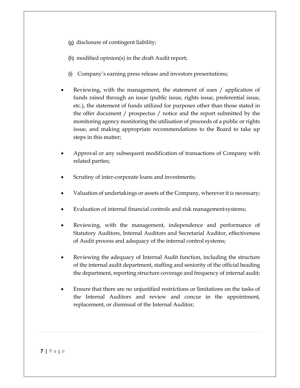(g) disclosure of contingent liability;

(h) modified opinion(s) in the draft Audit report;

- (i) Company's earning press release and investors presentations;
- Reviewing, with the management, the statement of uses / application of funds raised through an issue (public issue, rights issue, preferential issue, etc.), the statement of funds utilized for purposes other than those stated in the offer document / prospectus / notice and the report submitted by the monitoring agency monitoring the utilisation of proceeds of a public or rights issue, and making appropriate recommendations to the Board to take up steps in this matter;
- Approval or any subsequent modification of transactions of Company with related parties;
- Scrutiny of inter-corporate loans and investments;
- Valuation of undertakings or assets of the Company, wherever it is necessary;
- Evaluation of internal financial controls and risk management systems;
- Reviewing, with the management, independence and performance of Statutory Auditors, Internal Auditors and Secretarial Auditor, effectiveness of Audit process and adequacy of the internal control systems;
- Reviewing the adequacy of Internal Audit function, including the structure of the internal audit department, staffing and seniority of the official heading the department, reporting structure coverage and frequency of internal audit;
- Ensure that there are no unjustified restrictions or limitations on the tasks of the Internal Auditors and review and concur in the appointment, replacement, or dismissal of the Internal Auditor;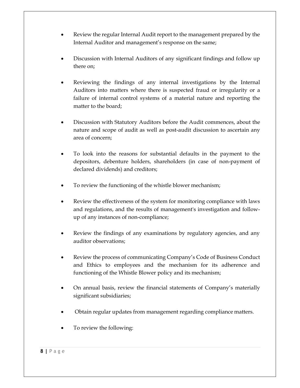- Review the regular Internal Audit report to the management prepared by the Internal Auditor and management's response on the same;
- Discussion with Internal Auditors of any significant findings and follow up there on;
- Reviewing the findings of any internal investigations by the Internal Auditors into matters where there is suspected fraud or irregularity or a failure of internal control systems of a material nature and reporting the matter to the board;
- Discussion with Statutory Auditors before the Audit commences, about the nature and scope of audit as well as post-audit discussion to ascertain any area of concern;
- To look into the reasons for substantial defaults in the payment to the depositors, debenture holders, shareholders (in case of non-payment of declared dividends) and creditors;
- To review the functioning of the whistle blower mechanism;
- Review the effectiveness of the system for monitoring compliance with laws and regulations, and the results of management's investigation and followup of any instances of non-compliance;
- Review the findings of any examinations by regulatory agencies, and any auditor observations;
- Review the process of communicating Company's Code of Business Conduct and Ethics to employees and the mechanism for its adherence and functioning of the Whistle Blower policy and its mechanism;
- On annual basis, review the financial statements of Company's materially significant subsidiaries;
- Obtain regular updates from management regarding compliance matters.
- To review the following: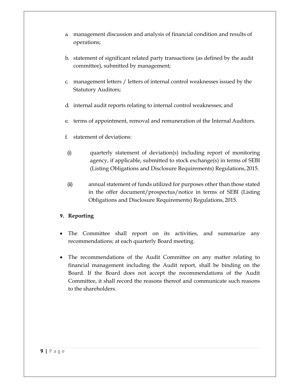- a. management discussion and analysis of financial condition and results of operations;
- b. statement of significant related party transactions (as defined by the audit committee), submitted by management;
- c. management letters / letters of internal control weaknesses issued by the Statutory Auditors;
- d. internal audit reports relating to internal control weaknesses; and
- e. terms of appointment, removal and remuneration of the Internal Auditors.
- f. statement of deviations:
- (i) quarterly statement of deviation(s) including report of monitoring agency, if applicable, submitted to stock exchange(s) in terms of SEBI (Listing Obligations and Disclosure Requirements) Regulations, 2015.
- (ii) annual statement of funds utilized for purposes other than those stated in the offer document/prospectus/notice in terms of SEBI (Listing Obligations and Disclosure Requirements) Regulations, 2015.

#### **9. Reporting**

- The Committee shall report on its activities, and summarize any recommendations; at each quarterly Board meeting.
- The recommendations of the Audit Committee on any matter relating to financial management including the Audit report, shall be binding on the Board. If the Board does not accept the recommendations of the Audit Committee, it shall record the reasons thereof and communicate such reasons to the shareholders.